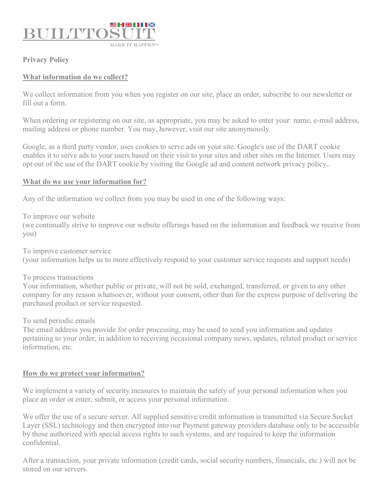

# **Privacy Policy**

# **What information do we collect?**

We collect information from you when you register on our site, place an order, subscribe to our newsletter or fill out a form.

When ordering or registering on our site, as appropriate, you may be asked to enter your: name, e-mail address, mailing address or phone number. You may, however, visit our site anonymously.

Google, as a third party vendor, uses cookies to serve ads on your site. Google's use of the DART cookie enables it to serve ads to your users based on their visit to your sites and other sites on the Internet. Users may opt out of the use of the DART cookie by visiting the Google ad and content network privacy policy..

#### **What do we use your information for?**

Any of the information we collect from you may be used in one of the following ways:

To improve our website

(we continually strive to improve our website offerings based on the information and feedback we receive from you)

To improve customer service (your information helps us to more effectively respond to your customer service requests and support needs)

#### To process transactions

Your information, whether public or private, will not be sold, exchanged, transferred, or given to any other company for any reason whatsoever, without your consent, other than for the express purpose of delivering the purchased product or service requested.

# To send periodic emails

The email address you provide for order processing, may be used to send you information and updates pertaining to your order, in addition to receiving occasional company news, updates, related product or service information, etc.

# **How do we protect your information?**

We implement a variety of security measures to maintain the safety of your personal information when you place an order or enter, submit, or access your personal information.

We offer the use of a secure server. All supplied sensitive/credit information is transmitted via Secure Socket Layer (SSL) technology and then encrypted into our Payment gateway providers database only to be accessible by those authorized with special access rights to such systems, and are required to keep the information confidential.

After a transaction, your private information (credit cards, social security numbers, financials, etc.) will not be stored on our servers.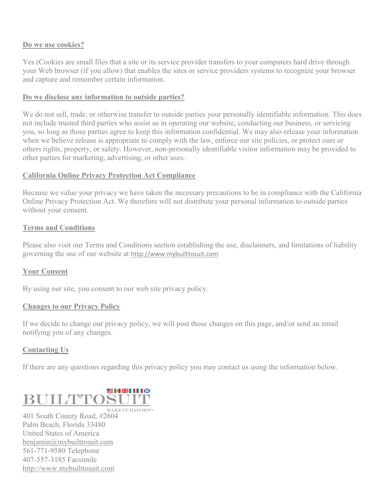# **Do we use cookies?**

Yes (Cookies are small files that a site or its service provider transfers to your computers hard drive through your Web browser (if you allow) that enables the sites or service providers systems to recognize your browser and capture and remember certain information.

# **Do we disclose any information to outside parties?**

We do not sell, trade, or otherwise transfer to outside parties your personally identifiable information. This does not include trusted third parties who assist us in operating our website, conducting our business, or servicing you, so long as those parties agree to keep this information confidential. We may also release your information when we believe release is appropriate to comply with the law, enforce our site policies, or protect ours or others rights, property, or safety. However, non-personally identifiable visitor information may be provided to other parties for marketing, advertising, or other uses.

# **California Online Privacy Protection Act Compliance**

Because we value your privacy we have taken the necessary precautions to be in compliance with the California Online Privacy Protection Act. We therefore will not distribute your personal information to outside parties without your consent.

# **Terms and Conditions**

Please also visit our Terms and Conditions section establishing the use, disclaimers, and limitations of liability governing the use of our website at [http://www.mybuilttosuit.com](http://www.mybuilttosuit.com/)

# **Your Consent**

By using our site, you consent to our [web site privacy policy.](http://www.freeprivacypolicy.com/)

# **Changes to our Privacy Policy**

If we decide to change our privacy policy, we will post those changes on this page, and/or send an email notifying you of any changes.

# **Contacting Us**

If there are any questions regarding this privacy policy you may contact us using the information below.



MAKE IT HAPPEN™ 401 South County Road, #2604 Palm Beach, Florida 33480 United States of America [benjamin@mybuilttosuit.com](mailto:benjamin@mybuilttosuit.com) 561-771-9580 Telephone 407-557-3185 Facsimile [http://www.mybuilttosuit.com](http://www.mybuilttosuit.com/)